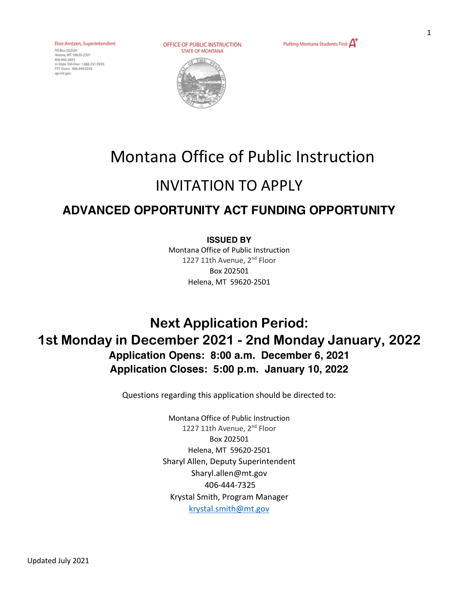Elsie Arntzen, Superintendent

PO Box 202501 Helena, MT 59620-2501 - Perena, mil. 39020-2301<br>406.444.5643<br>In-State Toll-free: 1.888.231.9393 TTY Users: 406-444-0235 coimt.gov

OFFICE OF PUBLIC INSTRUCTION **STATE OF MONTANA** 

Putting Montana Students First  $\mathbf{\Delta}^+$ 



# Montana Office of Public Instruction

# INVITATION TO APPLY

# **ADVANCED OPPORTUNITY ACT FUNDING OPPORTUNITY**

#### **ISSUED BY**

Montana Office of Public Instruction 1227 11th Avenue, 2<sup>nd</sup> Floor Box 202501 Helena, MT 59620-2501

# **Next Application Period: 1st Monday in December 2021 - 2nd Monday January, 2022 Application Opens: 8:00 a.m. December 6, 2021 Application Closes: 5:00 p.m. January 10, 2022**

Questions regarding this application should be directed to:

Montana Office of Public Instruction 1227 11th Avenue, 2<sup>nd</sup> Floor Box 202501 Helena, MT 59620-2501 Sharyl Allen, Deputy Superintendent Sharyl.allen@mt.gov 406-444-7325 Krystal Smith, Program Manager krystal.smith@mt.gov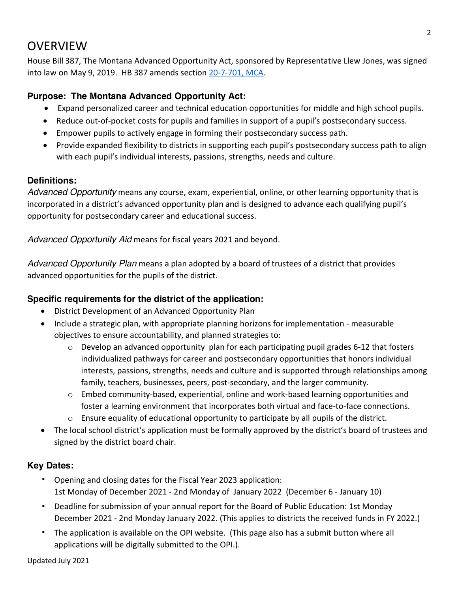### **OVERVIEW**

House Bill 387, The Montana Advanced Opportunity Act, sponsored by Representative Llew Jones, was signed into law on May 9, 2019. HB 387 amends section 20-7-701, MCA.

#### **Purpose: The Montana Advanced Opportunity Act:**

- Expand personalized career and technical education opportunities for middle and high school pupils.
- Reduce out-of-pocket costs for pupils and families in support of a pupil's postsecondary success.
- Empower pupils to actively engage in forming their postsecondary success path.
- Provide expanded flexibility to districts in supporting each pupil's postsecondary success path to align with each pupil's individual interests, passions, strengths, needs and culture.

#### **Definitions:**

*Advanced Opportunity* means any course, exam, experiential, online, or other learning opportunity that is incorporated in a district's advanced opportunity plan and is designed to advance each qualifying pupil's opportunity for postsecondary career and educational success.

*Advanced Opportunity Aid* means for fiscal years 2021 and beyond.

*Advanced Opportunity Plan* means a plan adopted by a board of trustees of a district that provides advanced opportunities for the pupils of the district.

#### **Specific requirements for the district of the application:**

- District Development of an Advanced Opportunity Plan
- Include a strategic plan, with appropriate planning horizons for implementation measurable objectives to ensure accountability, and planned strategies to:
	- $\circ$  Develop an advanced opportunity plan for each participating pupil grades 6-12 that fosters individualized pathways for career and postsecondary opportunities that honors individual interests, passions, strengths, needs and culture and is supported through relationships among family, teachers, businesses, peers, post-secondary, and the larger community.
	- o Embed community-based, experiential, online and work-based learning opportunities and foster a learning environment that incorporates both virtual and face-to-face connections.
	- $\circ$  Ensure equality of educational opportunity to participate by all pupils of the district.
- The local school district's application must be formally approved by the district's board of trustees and signed by the district board chair.

#### **Key Dates:**

- ! Opening and closing dates for the Fiscal Year 2023 application: 1st Monday of December 2021 - 2nd Monday of January 2022 (December 6 - January 10)
- ! Deadline for submission of your annual report for the Board of Public Education: 1st Monday December 2021 - 2nd Monday January 2022. (This applies to districts the received funds in FY 2022.)
- ! The application is available on the OPI website. (This page also has a submit button where all applications will be digitally submitted to the OPI.).

Updated July 2021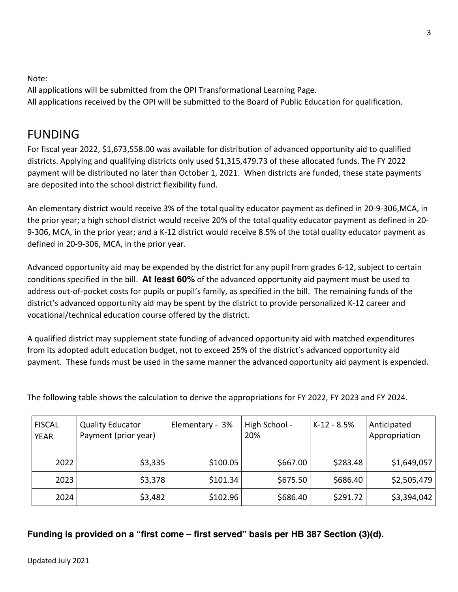#### Note:

All applications will be submitted from the OPI Transformational Learning Page. All applications received by the OPI will be submitted to the Board of Public Education for qualification. 3

### FUNDING

For fiscal year 2022, \$1,673,558.00 was available for distribution of advanced opportunity aid to qualified districts. Applying and qualifying districts only used \$1,315,479.73 of these allocated funds. The FY 2022 payment will be distributed no later than October 1, 2021. When districts are funded, these state payments are deposited into the school district flexibility fund.

An elementary district would receive 3% of the total quality educator payment as defined in 20-9-306,MCA, in the prior year; a high school district would receive 20% of the total quality educator payment as defined in 20- 9-306, MCA, in the prior year; and a K-12 district would receive 8.5% of the total quality educator payment as defined in 20-9-306, MCA, in the prior year.

Advanced opportunity aid may be expended by the district for any pupil from grades 6-12, subject to certain conditions specified in the bill. **At least 60%** of the advanced opportunity aid payment must be used to address out-of-pocket costs for pupils or pupil's family, as specified in the bill. The remaining funds of the district's advanced opportunity aid may be spent by the district to provide personalized K-12 career and vocational/technical education course offered by the district.

A qualified district may supplement state funding of advanced opportunity aid with matched expenditures from its adopted adult education budget, not to exceed 25% of the district's advanced opportunity aid payment. These funds must be used in the same manner the advanced opportunity aid payment is expended.

| <b>FISCAL</b><br><b>YEAR</b> | <b>Quality Educator</b><br>Payment (prior year) | Elementary - 3% | High School -<br>20% | $K-12 - 8.5%$ | Anticipated<br>Appropriation |
|------------------------------|-------------------------------------------------|-----------------|----------------------|---------------|------------------------------|
| 2022                         | \$3,335                                         | \$100.05        | \$667.00             | \$283.48      | \$1,649,057                  |
| 2023                         | \$3,378                                         | \$101.34        | \$675.50             | \$686.40      | \$2,505,479                  |
| 2024                         | \$3,482                                         | \$102.96        | \$686.40             | \$291.72      | \$3,394,042                  |

The following table shows the calculation to derive the appropriations for FY 2022, FY 2023 and FY 2024.

**Funding is provided on a "first come – first served" basis per HB 387 Section (3)(d).**